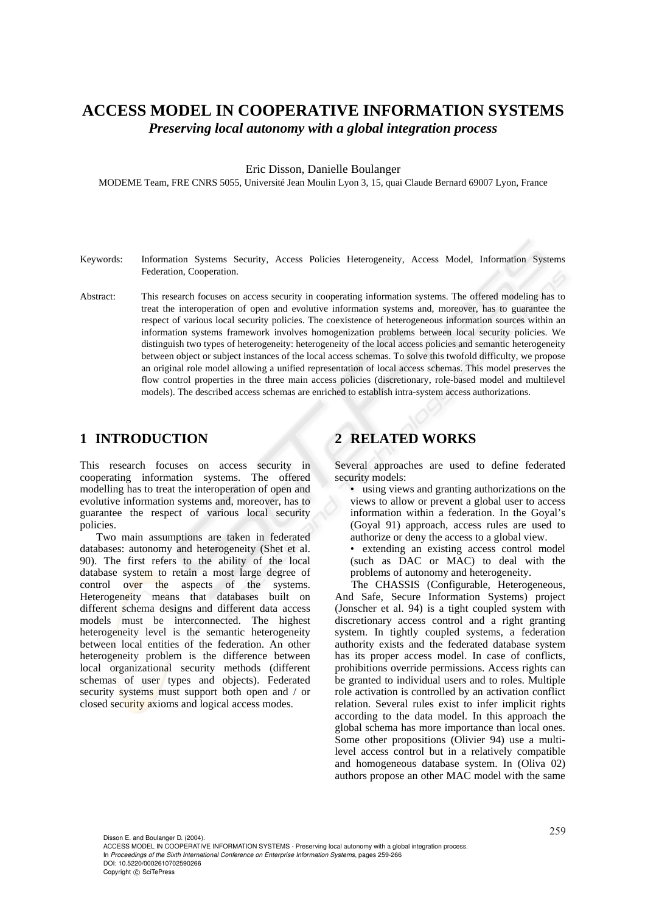# **ACCESS MODEL IN COOPERATIVE INFORMATION SYSTEMS** *Preserving local autonomy with a global integration process*

Eric Disson, Danielle Boulanger

MODEME Team, FRE CNRS 5055, Université Jean Moulin Lyon 3, 15, quai Claude Bernard 69007 Lyon, France

- Keywords: Information Systems Security, Access Policies Heterogeneity, Access Model, Information Systems Federation, Cooperation.
- Abstract: This research focuses on access security in cooperating information systems. The offered modeling has to treat the interoperation of open and evolutive information systems and, moreover, has to guarantee the respect of various local security policies. The coexistence of heterogeneous information sources within an information systems framework involves homogenization problems between local security policies. We distinguish two types of heterogeneity: heterogeneity of the local access policies and semantic heterogeneity between object or subject instances of the local access schemas. To solve this twofold difficulty, we propose an original role model allowing a unified representation of local access schemas. This model preserves the flow control properties in the three main access policies (discretionary, role-based model and multilevel models). The described access schemas are enriched to establish intra-system access authorizations.

## **1 INTRODUCTION**

This research focuses on access security in cooperating information systems. The offered modelling has to treat the interoperation of open and evolutive information systems and, moreover, has to guarantee the respect of various local security policies.

Two main assumptions are taken in federated databases: autonomy and heterogeneity (Shet et al. 90). The first refers to the ability of the local database system to retain a most large degree of control over the aspects of the systems. Heterogeneity means that databases built on different schema designs and different data access models must be interconnected. The highest heterogeneity level is the semantic heterogeneity between local entities of the federation. An other heterogeneity problem is the difference between local organizational security methods (different schemas of user types and objects). Federated security systems must support both open and / or closed security axioms and logical access modes.

## **2 RELATED WORKS**

Several approaches are used to define federated security models:

- using views and granting authorizations on the views to allow or prevent a global user to access information within a federation. In the Goyal's (Goyal 91) approach, access rules are used to authorize or deny the access to a global view.
- extending an existing access control model (such as DAC or MAC) to deal with the problems of autonomy and heterogeneity.

The CHASSIS (Configurable, Heterogeneous, And Safe, Secure Information Systems) project (Jonscher et al. 94) is a tight coupled system with discretionary access control and a right granting system. In tightly coupled systems, a federation authority exists and the federated database system has its proper access model. In case of conflicts, prohibitions override permissions. Access rights can be granted to individual users and to roles. Multiple role activation is controlled by an activation conflict relation. Several rules exist to infer implicit rights according to the data model. In this approach the global schema has more importance than local ones. Some other propositions (Olivier 94) use a multilevel access control but in a relatively compatible and homogeneous database system. In (Oliva 02) authors propose an other MAC model with the same

Disson E. and Boulanger D. (2004). ACCESS MODEL IN COOPERATIVE INFORMATION SYSTEMS - Preserving local autonomy with a global integration process. In *Proceedings of the Sixth International Conference on Enterprise Information Systems*, pages 259-266 DOI: 10.5220/0002610702590266 Copyright © SciTePress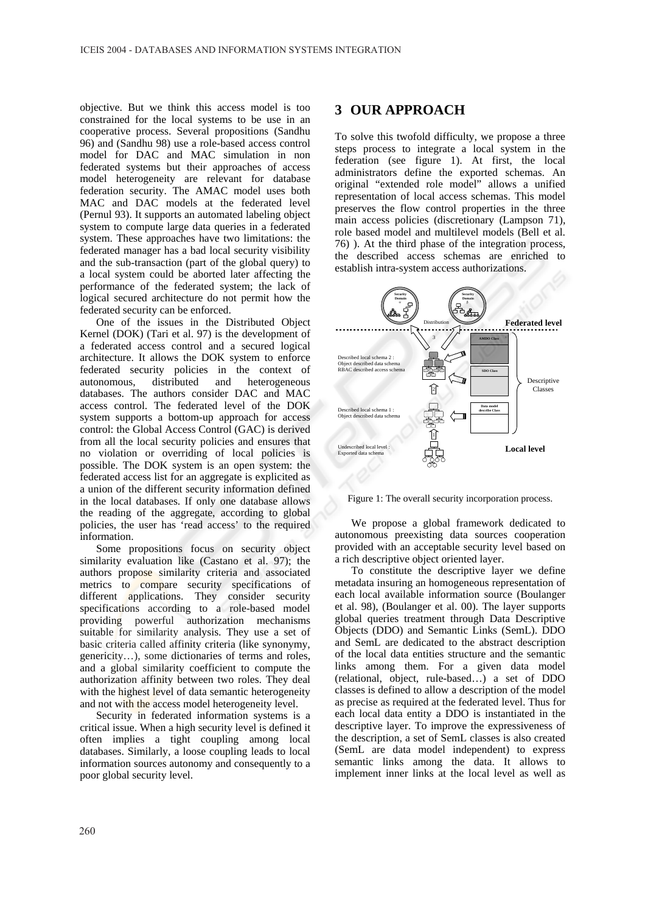objective. But we think this access model is too constrained for the local systems to be use in an cooperative process. Several propositions (Sandhu 96) and (Sandhu 98) use a role-based access control model for DAC and MAC simulation in non federated systems but their approaches of access model heterogeneity are relevant for database federation security. The AMAC model uses both MAC and DAC models at the federated level (Pernul 93). It supports an automated labeling object system to compute large data queries in a federated system. These approaches have two limitations: the federated manager has a bad local security visibility and the sub-transaction (part of the global query) to a local system could be aborted later affecting the performance of the federated system; the lack of logical secured architecture do not permit how the federated security can be enforced.

One of the issues in the Distributed Object Kernel (DOK) (Tari et al. 97) is the development of a federated access control and a secured logical architecture. It allows the DOK system to enforce federated security policies in the context of autonomous, distributed and heterogeneous databases. The authors consider DAC and MAC access control. The federated level of the DOK system supports a bottom-up approach for access control: the Global Access Control (GAC) is derived from all the local security policies and ensures that no violation or overriding of local policies is possible. The DOK system is an open system: the federated access list for an aggregate is explicited as a union of the different security information defined in the local databases. If only one database allows the reading of the aggregate, according to global policies, the user has 'read access' to the required information.

Some propositions focus on security object similarity evaluation like (Castano et al. 97); the authors propose similarity criteria and associated metrics to compare security specifications of different applications. They consider security specifications according to a role-based model providing powerful authorization mechanisms suitable for similarity analysis. They use a set of basic criteria called affinity criteria (like synonymy, genericity…), some dictionaries of terms and roles, and a global similarity coefficient to compute the authorization affinity between two roles. They deal with the highest level of data semantic heterogeneity and not with the access model heterogeneity level.

Security in federated information systems is a critical issue. When a high security level is defined it often implies a tight coupling among local databases. Similarly, a loose coupling leads to local information sources autonomy and consequently to a poor global security level.

#### **3 OUR APPROACH**

To solve this twofold difficulty, we propose a three steps process to integrate a local system in the federation (see figure 1). At first, the local administrators define the exported schemas. An original "extended role model" allows a unified representation of local access schemas. This model preserves the flow control properties in the three main access policies (discretionary (Lampson 71), role based model and multilevel models (Bell et al. 76) ). At the third phase of the integration process, the described access schemas are enriched to establish intra-system access authorizations.





We propose a global framework dedicated to autonomous preexisting data sources cooperation provided with an acceptable security level based on a rich descriptive object oriented layer.

To constitute the descriptive layer we define metadata insuring an homogeneous representation of each local available information source (Boulanger et al. 98), (Boulanger et al. 00). The layer supports global queries treatment through Data Descriptive Objects (DDO) and Semantic Links (SemL). DDO and SemL are dedicated to the abstract description of the local data entities structure and the semantic links among them. For a given data model (relational, object, rule-based…) a set of DDO classes is defined to allow a description of the model as precise as required at the federated level. Thus for each local data entity a DDO is instantiated in the descriptive layer. To improve the expressiveness of the description, a set of SemL classes is also created (SemL are data model independent) to express semantic links among the data. It allows to implement inner links at the local level as well as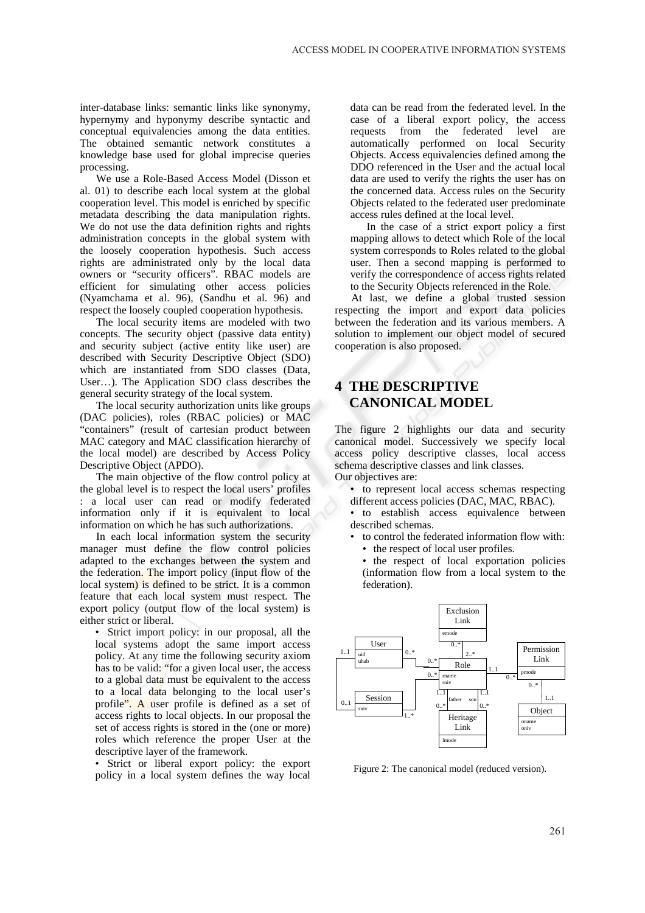inter-database links: semantic links like synonymy, hypernymy and hyponymy describe syntactic and conceptual equivalencies among the data entities. The obtained semantic network constitutes a knowledge base used for global imprecise queries processing.

We use a Role-Based Access Model (Disson et al. 01) to describe each local system at the global cooperation level. This model is enriched by specific metadata describing the data manipulation rights. We do not use the data definition rights and rights administration concepts in the global system with the loosely cooperation hypothesis. Such access rights are administrated only by the local data owners or "security officers". RBAC models are efficient for simulating other access policies (Nyamchama et al. 96), (Sandhu et al. 96) and respect the loosely coupled cooperation hypothesis.

The local security items are modeled with two concepts. The security object (passive data entity) and security subject (active entity like user) are described with Security Descriptive Object (SDO) which are instantiated from SDO classes (Data, User…). The Application SDO class describes the general security strategy of the local system.

The local security authorization units like groups (DAC policies), roles (RBAC policies) or MAC "containers" (result of cartesian product between MAC category and MAC classification hierarchy of the local model) are described by Access Policy Descriptive Object (APDO).

The main objective of the flow control policy at the global level is to respect the local users' profiles : a local user can read or modify federated information only if it is equivalent to local information on which he has such authorizations.

In each local information system the security manager must define the flow control policies adapted to the exchanges between the system and the federation. The import policy (input flow of the local system) is defined to be strict. It is a common feature that each local system must respect. The export policy (output flow of the local system) is either strict or liberal.

• Strict import policy: in our proposal, all the local systems adopt the same import access policy. At any time the following security axiom has to be valid: "for a given local user, the access to a global data must be equivalent to the access to a local data belonging to the local user's profile". A user profile is defined as a set of access rights to local objects. In our proposal the set of access rights is stored in the (one or more) roles which reference the proper User at the descriptive layer of the framework.

• Strict or liberal export policy: the export policy in a local system defines the way local

data can be read from the federated level. In the case of a liberal export policy, the access requests from the federated level are automatically performed on local Security Objects. Access equivalencies defined among the DDO referenced in the User and the actual local data are used to verify the rights the user has on the concerned data. Access rules on the Security Objects related to the federated user predominate access rules defined at the local level.

In the case of a strict export policy a first mapping allows to detect which Role of the local system corresponds to Roles related to the global user. Then a second mapping is performed to verify the correspondence of access rights related to the Security Objects referenced in the Role.

At last, we define a global trusted session respecting the import and export data policies between the federation and its various members. A solution to implement our object model of secured cooperation is also proposed.

## **4 THE DESCRIPTIVE CANONICAL MODEL**

The figure 2 highlights our data and security canonical model. Successively we specify local access policy descriptive classes, local access schema descriptive classes and link classes. Our objectives are:

• to represent local access schemas respecting different access policies (DAC, MAC, RBAC).

• to establish access equivalence between described schemas.

- to control the federated information flow with: • the respect of local user profiles.
	-
	- the respect of local exportation policies (information flow from a local system to the federation).



Figure 2: The canonical model (reduced version).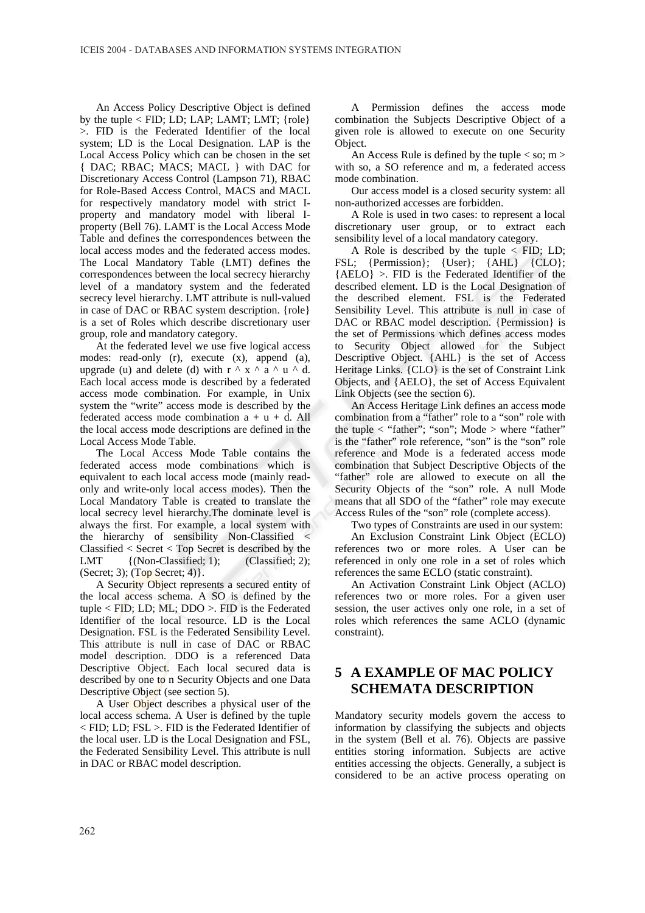An Access Policy Descriptive Object is defined by the tuple < FID; LD; LAP; LAMT; LMT; {role} >. FID is the Federated Identifier of the local system; LD is the Local Designation. LAP is the Local Access Policy which can be chosen in the set { DAC; RBAC; MACS; MACL } with DAC for Discretionary Access Control (Lampson 71), RBAC for Role-Based Access Control, MACS and MACL for respectively mandatory model with strict Iproperty and mandatory model with liberal Iproperty (Bell 76). LAMT is the Local Access Mode Table and defines the correspondences between the local access modes and the federated access modes. The Local Mandatory Table (LMT) defines the correspondences between the local secrecy hierarchy level of a mandatory system and the federated secrecy level hierarchy. LMT attribute is null-valued in case of DAC or RBAC system description. {role} is a set of Roles which describe discretionary user group, role and mandatory category.

At the federated level we use five logical access modes: read-only (r), execute (x), append (a), upgrade (u) and delete (d) with  $r \wedge x \wedge a \wedge u \wedge d$ . Each local access mode is described by a federated access mode combination. For example, in Unix system the "write" access mode is described by the federated access mode combination  $a + u + d$ . All the local access mode descriptions are defined in the Local Access Mode Table.

The Local Access Mode Table contains the federated access mode combinations which is equivalent to each local access mode (mainly readonly and write-only local access modes). Then the Local Mandatory Table is created to translate the local secrecy level hierarchy.The dominate level is always the first. For example, a local system with the hierarchy of sensibility Non-Classified < Classified < Secret < Top Secret is described by the LMT {(Non-Classified; 1); (Classified; 2); (Secret; 3); (Top Secret; 4) $\}$ .

A Security Object represents a secured entity of the local access schema. A SO is defined by the tuple < FID; LD; ML; DDO >. FID is the Federated Identifier of the local resource. LD is the Local Designation. FSL is the Federated Sensibility Level. This attribute is null in case of DAC or RBAC model description. DDO is a referenced Data Descriptive Object. Each local secured data is described by one to n Security Objects and one Data Descriptive Object (see section 5).

A User Object describes a physical user of the local access schema. A User is defined by the tuple < FID; LD; FSL >. FID is the Federated Identifier of the local user. LD is the Local Designation and FSL, the Federated Sensibility Level. This attribute is null in DAC or RBAC model description.

A Permission defines the access mode combination the Subjects Descriptive Object of a given role is allowed to execute on one Security Object.

An Access Rule is defined by the tuple  $\lt$  so; m  $>$ with so, a SO reference and m, a federated access mode combination.

Our access model is a closed security system: all non-authorized accesses are forbidden.

A Role is used in two cases: to represent a local discretionary user group, or to extract each sensibility level of a local mandatory category.

A Role is described by the tuple < FID; LD; FSL; {Permission}; {User}; {AHL} {CLO}; {AELO} >. FID is the Federated Identifier of the described element. LD is the Local Designation of the described element. FSL is the Federated Sensibility Level. This attribute is null in case of DAC or RBAC model description. {Permission} is the set of Permissions which defines access modes to Security Object allowed for the Subject Descriptive Object. {AHL} is the set of Access Heritage Links. {CLO} is the set of Constraint Link Objects, and {AELO}, the set of Access Equivalent Link Objects (see the section 6).

An Access Heritage Link defines an access mode combination from a "father" role to a "son" role with the tuple < "father"; "son"; Mode > where "father" is the "father" role reference, "son" is the "son" role reference and Mode is a federated access mode combination that Subject Descriptive Objects of the "father" role are allowed to execute on all the Security Objects of the "son" role. A null Mode means that all SDO of the "father" role may execute Access Rules of the "son" role (complete access).

Two types of Constraints are used in our system:

An Exclusion Constraint Link Object (ECLO) references two or more roles. A User can be referenced in only one role in a set of roles which references the same ECLO (static constraint).

An Activation Constraint Link Object (ACLO) references two or more roles. For a given user session, the user actives only one role, in a set of roles which references the same ACLO (dynamic constraint).

## **5 A EXAMPLE OF MAC POLICY SCHEMATA DESCRIPTION**

Mandatory security models govern the access to information by classifying the subjects and objects in the system (Bell et al. 76). Objects are passive entities storing information. Subjects are active entities accessing the objects. Generally, a subject is considered to be an active process operating on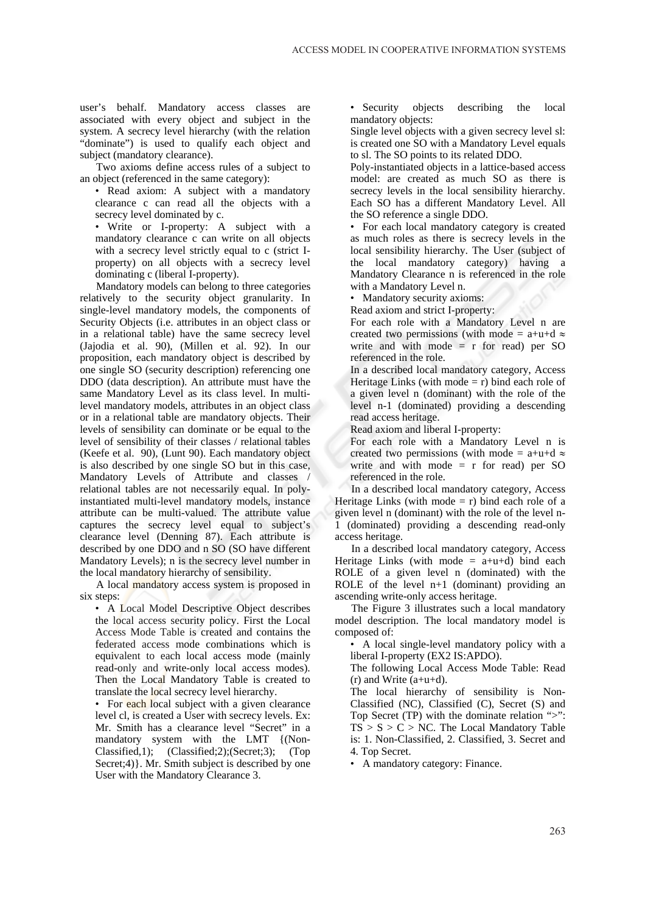user's behalf. Mandatory access classes are associated with every object and subject in the system. A secrecy level hierarchy (with the relation "dominate") is used to qualify each object and subject (mandatory clearance).

Two axioms define access rules of a subject to an object (referenced in the same category):

• Read axiom: A subject with a mandatory clearance c can read all the objects with a secrecy level dominated by c.

• Write or I-property: A subject with a mandatory clearance c can write on all objects with a secrecy level strictly equal to c (strict Iproperty) on all objects with a secrecy level dominating c (liberal I-property).

Mandatory models can belong to three categories relatively to the security object granularity. In single-level mandatory models, the components of Security Objects (i.e. attributes in an object class or in a relational table) have the same secrecy level (Jajodia et al. 90), (Millen et al. 92). In our proposition, each mandatory object is described by one single SO (security description) referencing one DDO (data description). An attribute must have the same Mandatory Level as its class level. In multilevel mandatory models, attributes in an object class or in a relational table are mandatory objects. Their levels of sensibility can dominate or be equal to the level of sensibility of their classes / relational tables (Keefe et al. 90), (Lunt 90). Each mandatory object is also described by one single SO but in this case, Mandatory Levels of Attribute and classes / relational tables are not necessarily equal. In polyinstantiated multi-level mandatory models, instance attribute can be multi-valued. The attribute value captures the secrecy level equal to subject's clearance level (Denning 87). Each attribute is described by one DDO and n SO (SO have different Mandatory Levels); n is the secrecy level number in the local mandatory hierarchy of sensibility.

A local mandatory access system is proposed in six steps:

• A Local Model Descriptive Object describes the local access security policy. First the Local Access Mode Table is created and contains the federated access mode combinations which is equivalent to each local access mode (mainly read-only and write-only local access modes). Then the Local Mandatory Table is created to translate the local secrecy level hierarchy.

• For each local subject with a given clearance level cl, is created a User with secrecy levels. Ex: Mr. Smith has a clearance level "Secret" in a mandatory system with the LMT {(Non-Classified,1); (Classified;2);(Secret;3); (Top Secret; 4) }. Mr. Smith subject is described by one User with the Mandatory Clearance 3.

• Security objects describing the local mandatory objects:

Single level objects with a given secrecy level sl: is created one SO with a Mandatory Level equals to sl. The SO points to its related DDO.

Poly-instantiated objects in a lattice-based access model: are created as much SO as there is secrecy levels in the local sensibility hierarchy. Each SO has a different Mandatory Level. All the SO reference a single DDO.

• For each local mandatory category is created as much roles as there is secrecy levels in the local sensibility hierarchy. The User (subject of the local mandatory category) having a Mandatory Clearance n is referenced in the role with a Mandatory Level n.

• Mandatory security axioms:

Read axiom and strict I-property:

For each role with a Mandatory Level n are created two permissions (with mode =  $a+u+d \approx$ write and with mode = r for read) per SO referenced in the role.

In a described local mandatory category, Access Heritage Links (with mode  $= r$ ) bind each role of a given level n (dominant) with the role of the level n-1 (dominated) providing a descending read access heritage.

Read axiom and liberal I-property:

For each role with a Mandatory Level n is created two permissions (with mode =  $a+u+d \approx$ write and with mode  $=$  r for read) per SO referenced in the role.

In a described local mandatory category, Access Heritage Links (with mode  $= r$ ) bind each role of a given level n (dominant) with the role of the level n-1 (dominated) providing a descending read-only access heritage.

In a described local mandatory category, Access Heritage Links (with mode  $=$  a+u+d) bind each ROLE of a given level n (dominated) with the ROLE of the level n+1 (dominant) providing an ascending write-only access heritage.

The Figure 3 illustrates such a local mandatory model description. The local mandatory model is composed of:

• A local single-level mandatory policy with a liberal I-property (EX2 IS:APDO).

The following Local Access Mode Table: Read  $(r)$  and Write  $(a+u+d)$ .

The local hierarchy of sensibility is Non-Classified (NC), Classified (C), Secret (S) and Top Secret (TP) with the dominate relation ">":  $TS > S > C > NC$ . The Local Mandatory Table is: 1. Non-Classified, 2. Classified, 3. Secret and 4. Top Secret.

• A mandatory category: Finance.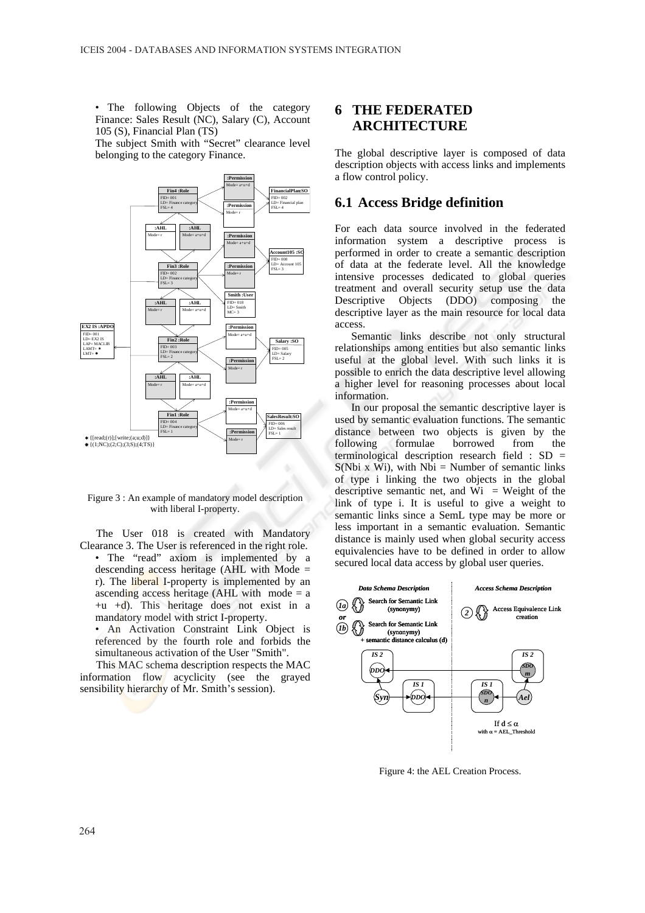• The following Objects of the category Finance: Sales Result (NC), Salary (C), Account 105 (S), Financial Plan (TS)

The subject Smith with "Secret" clearance level belonging to the category Finance.



Figure 3 : An example of mandatory model description with liberal I-property.

The User 018 is created with Mandatory Clearance 3. The User is referenced in the right role.

• The "read" axiom is implemented by a descending access heritage (AHL with Mode = r). The liberal I-property is implemented by an ascending access heritage (AHL with mode  $=$  a  $+u$   $+d$ ). This heritage does not exist in a mandatory model with strict I-property.

• An Activation Constraint Link Object is referenced by the fourth role and forbids the simultaneous activation of the User "Smith".

This MAC schema description respects the MAC information flow acyclicity (see the grayed sensibility hierarchy of Mr. Smith's session).

#### **6 THE FEDERATED ARCHITECTURE**

The global descriptive layer is composed of data description objects with access links and implements a flow control policy.

#### **6.1 Access Bridge definition**

For each data source involved in the federated information system a descriptive process is performed in order to create a semantic description of data at the federate level. All the knowledge intensive processes dedicated to global queries treatment and overall security setup use the data Descriptive Objects (DDO) composing the descriptive layer as the main resource for local data access.

Semantic links describe not only structural relationships among entities but also semantic links useful at the global level. With such links it is possible to enrich the data descriptive level allowing a higher level for reasoning processes about local information.

In our proposal the semantic descriptive layer is used by semantic evaluation functions. The semantic distance between two objects is given by the following formulae borrowed from the terminological description research field : SD =  $S(Nbi x Wi)$ , with  $Nbi = Number of semantic links$ of type i linking the two objects in the global descriptive semantic net, and  $Wi = Weight of the$ link of type i. It is useful to give a weight to semantic links since a SemL type may be more or less important in a semantic evaluation. Semantic distance is mainly used when global security access equivalencies have to be defined in order to allow secured local data access by global user queries.



Figure 4: the AEL Creation Process.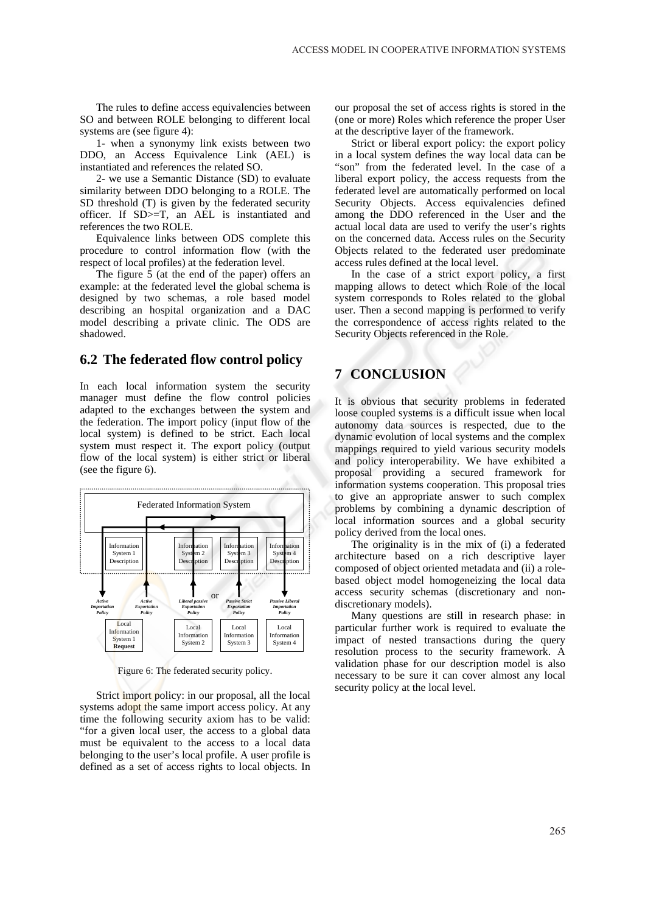The rules to define access equivalencies between SO and between ROLE belonging to different local systems are (see figure 4):

1- when a synonymy link exists between two DDO, an Access Equivalence Link (AEL) is instantiated and references the related SO.

2- we use a Semantic Distance (SD) to evaluate similarity between DDO belonging to a ROLE. The SD threshold (T) is given by the federated security officer. If SD>=T, an AEL is instantiated and references the two ROLE.

Equivalence links between ODS complete this procedure to control information flow (with the respect of local profiles) at the federation level.

The figure 5 (at the end of the paper) offers an example: at the federated level the global schema is designed by two schemas, a role based model describing an hospital organization and a DAC model describing a private clinic. The ODS are shadowed.

#### **6.2 The federated flow control policy**

In each local information system the security manager must define the flow control policies adapted to the exchanges between the system and the federation. The import policy (input flow of the local system) is defined to be strict. Each local system must respect it. The export policy (output flow of the local system) is either strict or liberal (see the figure 6).



Figure 6: The federated security policy.

Strict import policy: in our proposal, all the local systems adopt the same import access policy. At any time the following security axiom has to be valid: "for a given local user, the access to a global data must be equivalent to the access to a local data belonging to the user's local profile. A user profile is defined as a set of access rights to local objects. In our proposal the set of access rights is stored in the (one or more) Roles which reference the proper User at the descriptive layer of the framework.

Strict or liberal export policy: the export policy in a local system defines the way local data can be "son" from the federated level. In the case of a liberal export policy, the access requests from the federated level are automatically performed on local Security Objects. Access equivalencies defined among the DDO referenced in the User and the actual local data are used to verify the user's rights on the concerned data. Access rules on the Security Objects related to the federated user predominate access rules defined at the local level.

In the case of a strict export policy, a first mapping allows to detect which Role of the local system corresponds to Roles related to the global user. Then a second mapping is performed to verify the correspondence of access rights related to the Security Objects referenced in the Role.

## **7 CONCLUSION**

It is obvious that security problems in federated loose coupled systems is a difficult issue when local autonomy data sources is respected, due to the dynamic evolution of local systems and the complex mappings required to yield various security models and policy interoperability. We have exhibited a proposal providing a secured framework for information systems cooperation. This proposal tries to give an appropriate answer to such complex problems by combining a dynamic description of local information sources and a global security policy derived from the local ones.

The originality is in the mix of (i) a federated architecture based on a rich descriptive layer composed of object oriented metadata and (ii) a rolebased object model homogeneizing the local data access security schemas (discretionary and nondiscretionary models).

Many questions are still in research phase: in particular further work is required to evaluate the impact of nested transactions during the query resolution process to the security framework. A validation phase for our description model is also necessary to be sure it can cover almost any local security policy at the local level.